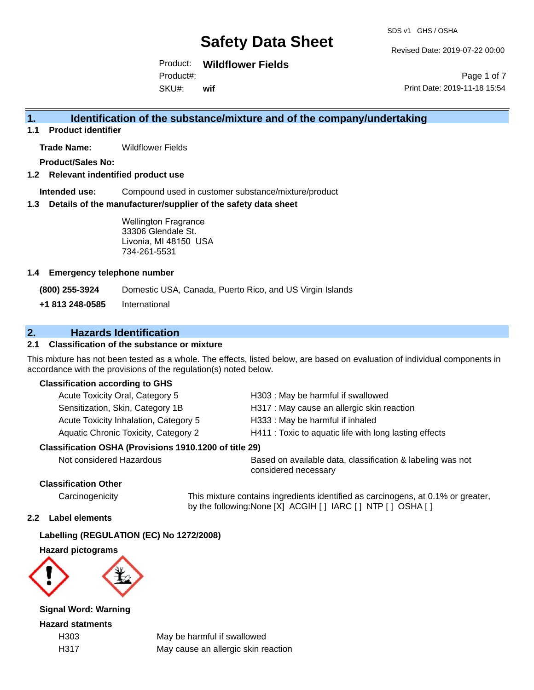Revised Date: 2019-07-22 00:00

Product: **Wildflower Fields** Product#:

SKU#: **wif**

Page 1 of 7 Print Date: 2019-11-18 15:54

### **1. Identification of the substance/mixture and of the company/undertaking**

**1.1 Product identifier**

**Trade Name:** Wildflower Fields

**Product/Sales No:**

**1.2 Relevant indentified product use**

**Intended use:** Compound used in customer substance/mixture/product

**1.3 Details of the manufacturer/supplier of the safety data sheet**

Wellington Fragrance 33306 Glendale St. Livonia, MI 48150 USA 734-261-5531

### **1.4 Emergency telephone number**

**(800) 255-3924** Domestic USA, Canada, Puerto Rico, and US Virgin Islands

**+1 813 248-0585** International

### **2. Hazards Identification**

### **2.1 Classification of the substance or mixture**

This mixture has not been tested as a whole. The effects, listed below, are based on evaluation of individual components in accordance with the provisions of the regulation(s) noted below.

### **Classification according to GHS**

| Acute Toxicity Oral, Category 5       | H303 : May be harmful if swallowed                     |
|---------------------------------------|--------------------------------------------------------|
| Sensitization, Skin, Category 1B      | H317 : May cause an allergic skin reaction             |
| Acute Toxicity Inhalation, Category 5 | H333: May be harmful if inhaled                        |
| Aquatic Chronic Toxicity, Category 2  | H411 : Toxic to aquatic life with long lasting effects |
|                                       |                                                        |

### **Classification OSHA (Provisions 1910.1200 of title 29)**

Not considered Hazardous Based on available data, classification & labeling was not considered necessary

### **Classification Other**

Carcinogenicity This mixture contains ingredients identified as carcinogens, at 0.1% or greater, by the following:None [X] ACGIH [ ] IARC [ ] NTP [ ] OSHA [ ]

### **2.2 Label elements**

### **Labelling (REGULATION (EC) No 1272/2008)**

**Hazard pictograms**



**Signal Word: Warning**

**Hazard statments**

H303 May be harmful if swallowed H317 May cause an allergic skin reaction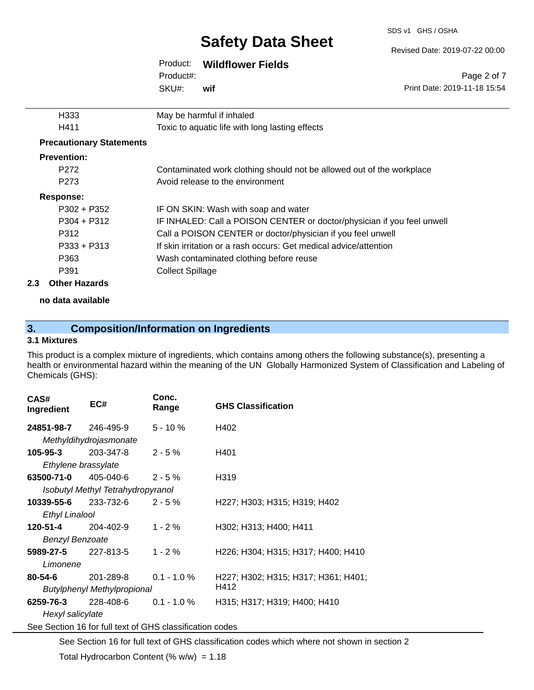SDS v1 GHS / OSHA

#### Revised Date: 2019-07-22 00:00

Print Date: 2019-11-18 15:54

Page 2 of 7

| Product: | <b>Wildflower Fields</b> |  |
|----------|--------------------------|--|
|----------|--------------------------|--|

SKU#: Product#: **wif**

|     | H333                            | May be harmful if inhaled                                               |
|-----|---------------------------------|-------------------------------------------------------------------------|
|     | H411                            | Toxic to aquatic life with long lasting effects                         |
|     | <b>Precautionary Statements</b> |                                                                         |
|     | <b>Prevention:</b>              |                                                                         |
|     | P <sub>272</sub>                | Contaminated work clothing should not be allowed out of the workplace   |
|     | P <sub>273</sub>                | Avoid release to the environment                                        |
|     | <b>Response:</b>                |                                                                         |
|     | $P302 + P352$                   | IF ON SKIN: Wash with soap and water                                    |
|     | $P304 + P312$                   | IF INHALED: Call a POISON CENTER or doctor/physician if you feel unwell |
|     | P312                            | Call a POISON CENTER or doctor/physician if you feel unwell             |
|     | $P333 + P313$                   | If skin irritation or a rash occurs: Get medical advice/attention       |
|     | P363                            | Wash contaminated clothing before reuse                                 |
|     | P391                            | <b>Collect Spillage</b>                                                 |
| 2.3 | <b>Other Hazards</b>            |                                                                         |

**no data available**

### **3. Composition/Information on Ingredients**

### **3.1 Mixtures**

This product is a complex mixture of ingredients, which contains among others the following substance(s), presenting a health or environmental hazard within the meaning of the UN Globally Harmonized System of Classification and Labeling of Chemicals (GHS):

| CAS#<br>Ingredient                                       | EC#                               | Conc.<br>Range | <b>GHS Classification</b>           |  |  |
|----------------------------------------------------------|-----------------------------------|----------------|-------------------------------------|--|--|
| <b>24851-98-7</b> 246-495-9                              |                                   | $5 - 10 \%$    | H402                                |  |  |
|                                                          | Methyldihydrojasmonate            |                |                                     |  |  |
| 105-95-3                                                 | 203-347-8                         | $2 - 5 \%$     | H401                                |  |  |
| Ethylene brassylate                                      |                                   |                |                                     |  |  |
| <b>63500-71-0</b> 405-040-6                              |                                   | $2 - 5 \%$     | H319                                |  |  |
|                                                          | Isobutyl Methyl Tetrahydropyranol |                |                                     |  |  |
| <b>10339-55-6</b> 233-732-6                              |                                   | $2 - 5%$       | H227; H303; H315; H319; H402        |  |  |
| <b>Ethyl Linalool</b>                                    |                                   |                |                                     |  |  |
| 120-51-4                                                 | 204-402-9                         | $1 - 2 \%$     | H302; H313; H400; H411              |  |  |
|                                                          | <b>Benzyl Benzoate</b>            |                |                                     |  |  |
| <b>5989-27-5</b> 227-813-5                               |                                   | $1 - 2\%$      | H226; H304; H315; H317; H400; H410  |  |  |
| Limonene                                                 |                                   |                |                                     |  |  |
| 80-54-6                                                  | 201-289-8 0.1 - 1.0 %             |                | H227; H302; H315; H317; H361; H401; |  |  |
| Butylphenyl Methylpropional                              |                                   |                | H412                                |  |  |
| 6259-76-3                                                | 228-408-6                         | $0.1 - 1.0 \%$ | H315; H317; H319; H400; H410        |  |  |
|                                                          | Hexyl salicylate                  |                |                                     |  |  |
| See Section 16 for full text of GHS classification codes |                                   |                |                                     |  |  |

See Section 16 for full text of GHS classification codes which where not shown in section 2 Total Hydrocarbon Content (%  $w/w$ ) = 1.18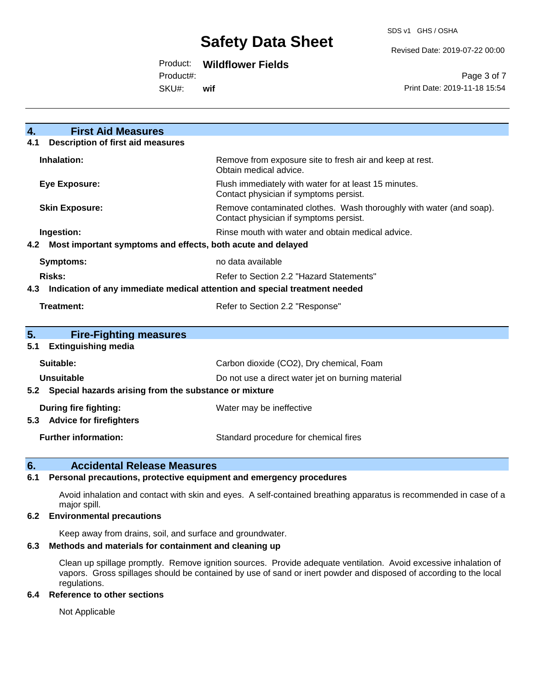#### Revised Date: 2019-07-22 00:00

### Product: **Wildflower Fields**

Product#:

SKU#: **wif**

Page 3 of 7 Print Date: 2019-11-18 15:54

| $\mathbf{4}$<br><b>First Aid Measures</b>                                         |                                                                                                               |  |  |
|-----------------------------------------------------------------------------------|---------------------------------------------------------------------------------------------------------------|--|--|
| <b>Description of first aid measures</b><br>4.1                                   |                                                                                                               |  |  |
| Inhalation:                                                                       | Remove from exposure site to fresh air and keep at rest.<br>Obtain medical advice.                            |  |  |
| <b>Eye Exposure:</b>                                                              | Flush immediately with water for at least 15 minutes.<br>Contact physician if symptoms persist.               |  |  |
| <b>Skin Exposure:</b>                                                             | Remove contaminated clothes. Wash thoroughly with water (and soap).<br>Contact physician if symptoms persist. |  |  |
| Ingestion:                                                                        | Rinse mouth with water and obtain medical advice.                                                             |  |  |
| Most important symptoms and effects, both acute and delayed<br>4.2                |                                                                                                               |  |  |
| <b>Symptoms:</b><br>no data available                                             |                                                                                                               |  |  |
| Risks:<br>Refer to Section 2.2 "Hazard Statements"                                |                                                                                                               |  |  |
| Indication of any immediate medical attention and special treatment needed<br>4.3 |                                                                                                               |  |  |
| Treatment:<br>Refer to Section 2.2 "Response"                                     |                                                                                                               |  |  |
|                                                                                   |                                                                                                               |  |  |
| 5.<br><b>Fire-Fighting measures</b>                                               |                                                                                                               |  |  |
| <b>Extinguishing media</b><br>5.1                                                 |                                                                                                               |  |  |
| Suitable:                                                                         | Carbon dioxide (CO2), Dry chemical, Foam                                                                      |  |  |
| Unsuitable                                                                        | Do not use a direct water jet on burning material                                                             |  |  |
| 5.2 Special hazards arising from the substance or mixture                         |                                                                                                               |  |  |
| During fire fighting:<br>5.3 Advice for firefighters                              | Water may be ineffective                                                                                      |  |  |
| <b>Further information:</b>                                                       | Standard procedure for chemical fires                                                                         |  |  |

### **6. Accidental Release Measures**

### **6.1 Personal precautions, protective equipment and emergency procedures**

Avoid inhalation and contact with skin and eyes. A self-contained breathing apparatus is recommended in case of a major spill.

#### **6.2 Environmental precautions**

Keep away from drains, soil, and surface and groundwater.

#### **6.3 Methods and materials for containment and cleaning up**

Clean up spillage promptly. Remove ignition sources. Provide adequate ventilation. Avoid excessive inhalation of vapors. Gross spillages should be contained by use of sand or inert powder and disposed of according to the local regulations.

### **6.4 Reference to other sections**

Not Applicable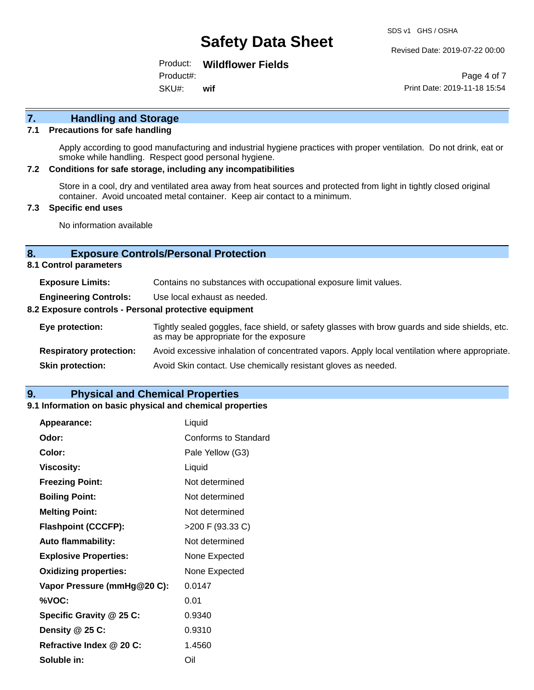Revised Date: 2019-07-22 00:00

Product: **Wildflower Fields** Product#:

SKU#: **wif**

Page 4 of 7 Print Date: 2019-11-18 15:54

## **7. Handling and Storage**

### **7.1 Precautions for safe handling**

Apply according to good manufacturing and industrial hygiene practices with proper ventilation. Do not drink, eat or smoke while handling. Respect good personal hygiene.

#### **7.2 Conditions for safe storage, including any incompatibilities**

Store in a cool, dry and ventilated area away from heat sources and protected from light in tightly closed original container. Avoid uncoated metal container. Keep air contact to a minimum.

### **7.3 Specific end uses**

No information available

### **8. Exposure Controls/Personal Protection**

**8.1 Control parameters**

| <b>Exposure Limits:</b>                               | Contains no substances with occupational exposure limit values.                                                                          |  |  |
|-------------------------------------------------------|------------------------------------------------------------------------------------------------------------------------------------------|--|--|
| <b>Engineering Controls:</b>                          | Use local exhaust as needed.                                                                                                             |  |  |
| 8.2 Exposure controls - Personal protective equipment |                                                                                                                                          |  |  |
| Eye protection:                                       | Tightly sealed goggles, face shield, or safety glasses with brow guards and side shields, etc.<br>as may be appropriate for the exposure |  |  |
| <b>Respiratory protection:</b>                        | Avoid excessive inhalation of concentrated vapors. Apply local ventilation where appropriate.                                            |  |  |
| <b>Skin protection:</b>                               | Avoid Skin contact. Use chemically resistant gloves as needed.                                                                           |  |  |

### **9. Physical and Chemical Properties**

#### **9.1 Information on basic physical and chemical properties**

| Appearance:                  | Liquid               |
|------------------------------|----------------------|
| Odor:                        | Conforms to Standard |
| Color:                       | Pale Yellow (G3)     |
| <b>Viscosity:</b>            | Liquid               |
| <b>Freezing Point:</b>       | Not determined       |
| <b>Boiling Point:</b>        | Not determined       |
| <b>Melting Point:</b>        | Not determined       |
| <b>Flashpoint (CCCFP):</b>   | >200 F (93.33 C)     |
| <b>Auto flammability:</b>    | Not determined       |
| <b>Explosive Properties:</b> | None Expected        |
| <b>Oxidizing properties:</b> | None Expected        |
| Vapor Pressure (mmHg@20 C):  | 0.0147               |
| %VOC:                        | 0.01                 |
| Specific Gravity @ 25 C:     | 0.9340               |
| Density @ 25 C:              | 0.9310               |
| Refractive Index @ 20 C:     | 1.4560               |
| Soluble in:                  | Oil                  |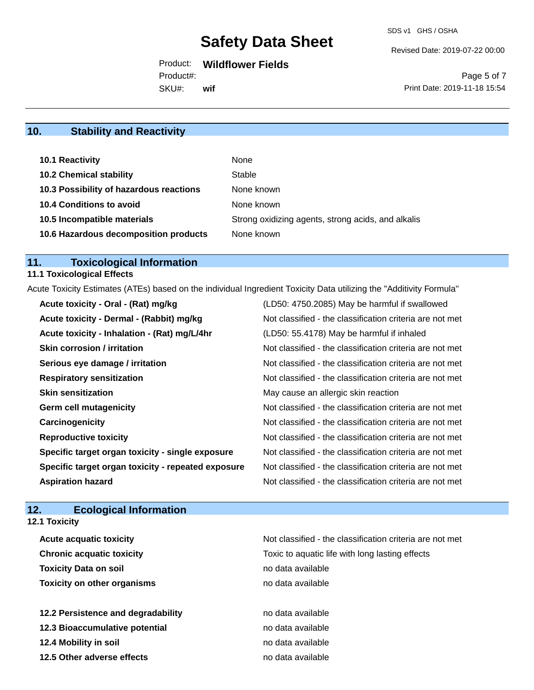Revised Date: 2019-07-22 00:00

Product: **Wildflower Fields**

SKU#: Product#: **wif**

Page 5 of 7 Print Date: 2019-11-18 15:54

### **10. Stability and Reactivity**

| 10.1 Reactivity                         | None                                               |
|-----------------------------------------|----------------------------------------------------|
| <b>10.2 Chemical stability</b>          | Stable                                             |
| 10.3 Possibility of hazardous reactions | None known                                         |
| <b>10.4 Conditions to avoid</b>         | None known                                         |
| 10.5 Incompatible materials             | Strong oxidizing agents, strong acids, and alkalis |
| 10.6 Hazardous decomposition products   | None known                                         |

### **11. Toxicological Information**

### **11.1 Toxicological Effects**

Acute Toxicity Estimates (ATEs) based on the individual Ingredient Toxicity Data utilizing the "Additivity Formula"

| Acute toxicity - Oral - (Rat) mg/kg                | (LD50: 4750.2085) May be harmful if swallowed            |
|----------------------------------------------------|----------------------------------------------------------|
| Acute toxicity - Dermal - (Rabbit) mg/kg           | Not classified - the classification criteria are not met |
| Acute toxicity - Inhalation - (Rat) mg/L/4hr       | (LD50: 55.4178) May be harmful if inhaled                |
| <b>Skin corrosion / irritation</b>                 | Not classified - the classification criteria are not met |
| Serious eye damage / irritation                    | Not classified - the classification criteria are not met |
| <b>Respiratory sensitization</b>                   | Not classified - the classification criteria are not met |
| <b>Skin sensitization</b>                          | May cause an allergic skin reaction                      |
| <b>Germ cell mutagenicity</b>                      | Not classified - the classification criteria are not met |
| Carcinogenicity                                    | Not classified - the classification criteria are not met |
| <b>Reproductive toxicity</b>                       | Not classified - the classification criteria are not met |
| Specific target organ toxicity - single exposure   | Not classified - the classification criteria are not met |
| Specific target organ toxicity - repeated exposure | Not classified - the classification criteria are not met |
| <b>Aspiration hazard</b>                           | Not classified - the classification criteria are not met |

### **12. Ecological Information**

| <b>12.1 Toxicity</b>               |                                                          |
|------------------------------------|----------------------------------------------------------|
| <b>Acute acquatic toxicity</b>     | Not classified - the classification criteria are not met |
| <b>Chronic acquatic toxicity</b>   | Toxic to aquatic life with long lasting effects          |
| <b>Toxicity Data on soil</b>       | no data available                                        |
| <b>Toxicity on other organisms</b> | no data available                                        |
| 12.2 Persistence and degradability | no data available                                        |
| 12.3 Bioaccumulative potential     | no data available                                        |
| 12.4 Mobility in soil              | no data available                                        |
| 12.5 Other adverse effects         | no data available                                        |
|                                    |                                                          |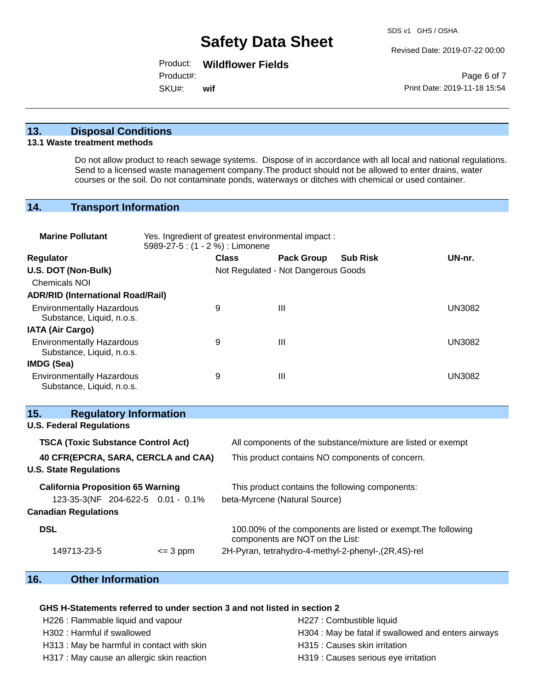Revised Date: 2019-07-22 00:00

Product: **Wildflower Fields**

Product#:

SKU#: **wif**

Page 6 of 7 Print Date: 2019-11-18 15:54

### **13. Disposal Conditions**

#### **13.1 Waste treatment methods**

Do not allow product to reach sewage systems. Dispose of in accordance with all local and national regulations. Send to a licensed waste management company.The product should not be allowed to enter drains, water courses or the soil. Do not contaminate ponds, waterways or ditches with chemical or used container.

### **14. Transport Information**

| <b>Marine Pollutant</b>                                                                | Yes. Ingredient of greatest environmental impact:<br>5989-27-5: (1 - 2 %) : Limonene |              |                                     |                                                               |               |
|----------------------------------------------------------------------------------------|--------------------------------------------------------------------------------------|--------------|-------------------------------------|---------------------------------------------------------------|---------------|
| Regulator                                                                              |                                                                                      | <b>Class</b> | <b>Pack Group</b>                   | <b>Sub Risk</b>                                               | UN-nr.        |
| U.S. DOT (Non-Bulk)                                                                    |                                                                                      |              | Not Regulated - Not Dangerous Goods |                                                               |               |
| <b>Chemicals NOI</b>                                                                   |                                                                                      |              |                                     |                                                               |               |
| <b>ADR/RID (International Road/Rail)</b>                                               |                                                                                      |              |                                     |                                                               |               |
| <b>Environmentally Hazardous</b><br>Substance, Liquid, n.o.s.                          |                                                                                      | 9            | $\mathbf{III}$                      |                                                               | <b>UN3082</b> |
| <b>IATA (Air Cargo)</b>                                                                |                                                                                      |              |                                     |                                                               |               |
| <b>Environmentally Hazardous</b><br>Substance, Liquid, n.o.s.                          |                                                                                      | 9            | $\mathbf{III}$                      |                                                               | <b>UN3082</b> |
| IMDG (Sea)                                                                             |                                                                                      |              |                                     |                                                               |               |
| <b>Environmentally Hazardous</b><br>Substance, Liquid, n.o.s.                          |                                                                                      | 9            | $\mathbf{III}$                      |                                                               | <b>UN3082</b> |
| <b>Regulatory Information</b><br>15.<br><b>U.S. Federal Regulations</b>                |                                                                                      |              |                                     |                                                               |               |
|                                                                                        |                                                                                      |              |                                     |                                                               |               |
| <b>TSCA (Toxic Substance Control Act)</b>                                              |                                                                                      |              |                                     | All components of the substance/mixture are listed or exempt  |               |
| 40 CFR(EPCRA, SARA, CERCLA and CAA)<br>This product contains NO components of concern. |                                                                                      |              |                                     |                                                               |               |
| <b>U.S. State Regulations</b>                                                          |                                                                                      |              |                                     |                                                               |               |
| <b>California Proposition 65 Warning</b>                                               |                                                                                      |              |                                     | This product contains the following components:               |               |
| 123-35-3(NF 204-622-5 0.01 - 0.1%                                                      |                                                                                      |              | beta-Myrcene (Natural Source)       |                                                               |               |
| <b>Canadian Regulations</b>                                                            |                                                                                      |              |                                     |                                                               |               |
| <b>DSL</b>                                                                             |                                                                                      |              | components are NOT on the List:     | 100.00% of the components are listed or exempt. The following |               |
| 149713-23-5                                                                            | $= 3$ ppm                                                                            |              |                                     | 2H-Pyran, tetrahydro-4-methyl-2-phenyl-, (2R, 4S)-rel         |               |

### **16. Other Information**

#### **GHS H-Statements referred to under section 3 and not listed in section 2**

H226 : Flammable liquid and vapour **H227** : Combustible liquid

H313 : May be harmful in contact with skin History H315 : Causes skin irritation

- H317 : May cause an allergic skin reaction **H319** : Causes serious eye irritation
- H302 : Harmful if swallowed H304 : May be fatal if swallowed and enters airways